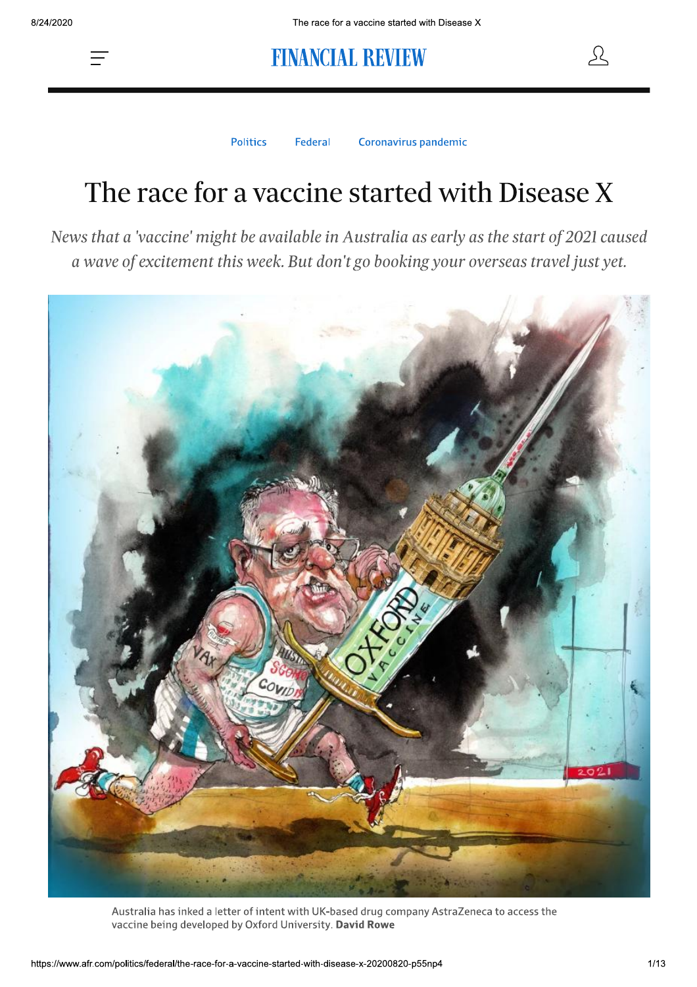

**Politics** Federal Coronavirus pandemic

Ω

# The race for a vaccine started with Disease X

News that a 'vaccine' might be available in Australia as early as the start of 2021 caused a wave of excitement this week. But don't go booking your overseas travel just yet.



Australia has inked a letter of intent with UK-based drug company AstraZeneca to access the vaccine being developed by Oxford University. David Rowe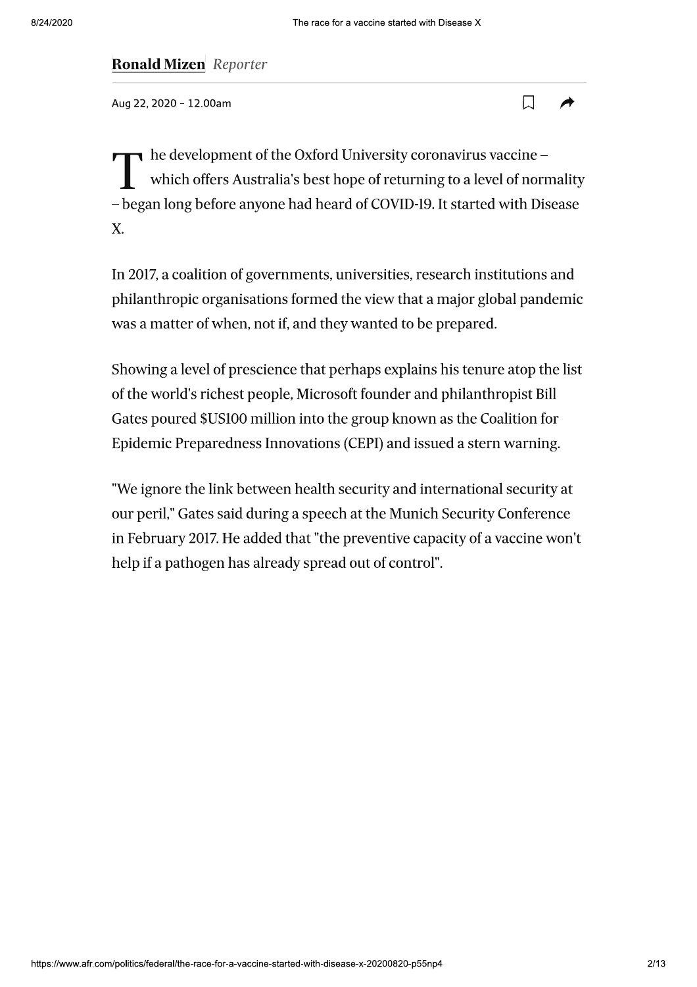### **Ronald Mizen** Reporter

Aug 22, 2020 - 12.00am



 $\bullet$  he development of the Oxford University coronavirus vaccine which offers Australia's best hope of returning to a level of normality - began long before anyone had heard of COVID-19. It started with Disease X.

In 2017, a coalition of governments, universities, research institutions and philanthropic organisations formed the view that a major global pandemic was a matter of when, not if, and they wanted to be prepared.

Showing a level of prescience that perhaps explains his tenure atop the list of the world's richest people, Microsoft founder and philanthropist Bill Gates poured \$US100 million into the group known as the Coalition for Epidemic Preparedness Innovations (CEPI) and issued a stern warning.

"We ignore the link between health security and international security at our peril," Gates said during a speech at the Munich Security Conference in February 2017. He added that "the preventive capacity of a vaccine won't help if a pathogen has already spread out of control".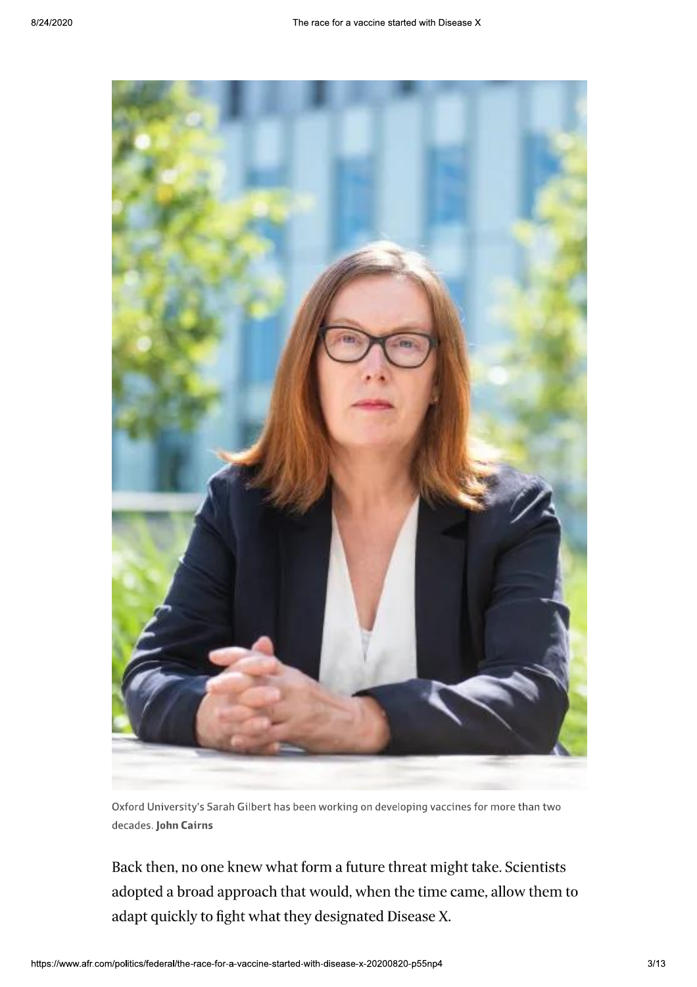

Oxford University's Sarah Gilbert has been working on developing vaccines for more than two decades. John Cairns

Back then, no one knew what form a future threat might take. Scientists adopted a broad approach that would, when the time came, allow them to adapt quickly to fight what they designated Disease X.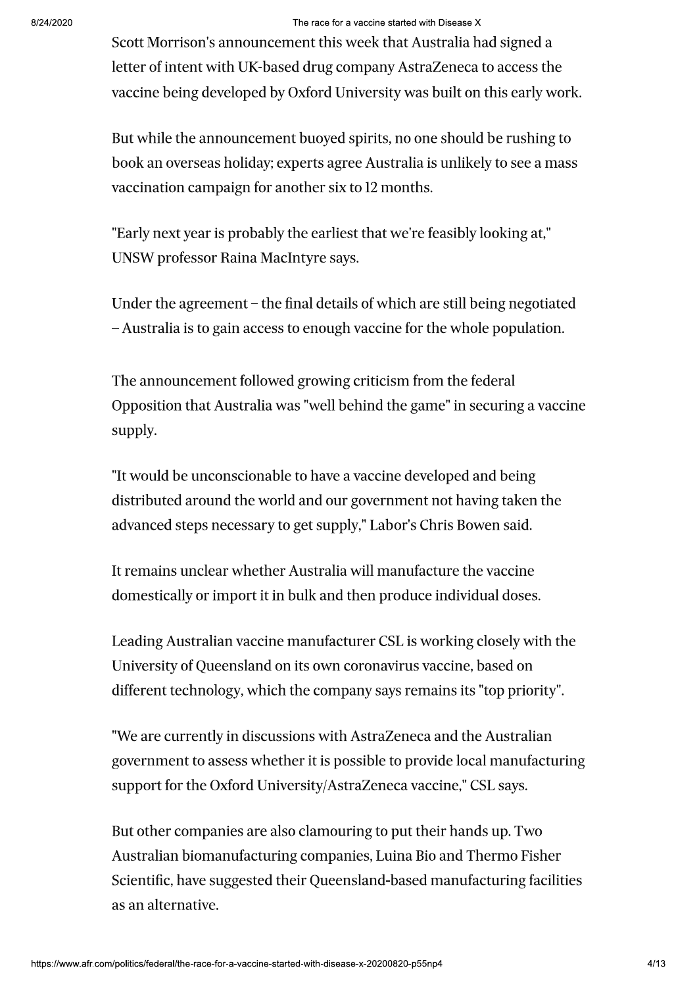#### The race for a vaccine started with Disease X

Scott Morrison's announcement this week that Australia had signed a letter of intent with UK-based drug company AstraZeneca to access the vaccine being developed by Oxford University was built on this early work.

But while the announcement buoyed spirits, no one should be rushing to book an overseas holiday; experts agree Australia is unlikely to see a mass vaccination campaign for another six to 12 months.

"Early next year is probably the earliest that we're feasibly looking at," UNSW professor Raina MacIntyre says.

Under the agreement – the final details of which are still being negotiated - Australia is to gain access to enough vaccine for the whole population.

The announcement followed growing criticism from the federal Opposition that Australia was "well behind the game" in securing a vaccine supply.

"It would be unconscionable to have a vaccine developed and being distributed around the world and our government not having taken the advanced steps necessary to get supply," Labor's Chris Bowen said.

It remains unclear whether Australia will manufacture the vaccine domestically or import it in bulk and then produce individual doses.

Leading Australian vaccine manufacturer CSL is working closely with the University of Queensland on its own coronavirus vaccine, based on different technology, which the company says remains its "top priority".

"We are currently in discussions with AstraZeneca and the Australian government to assess whether it is possible to provide local manufacturing support for the Oxford University/AstraZeneca vaccine," CSL says.

But other companies are also clamouring to put their hands up. Two Australian biomanufacturing companies, Luina Bio and Thermo Fisher Scientific, have suggested their Queensland-based manufacturing facilities as an alternative.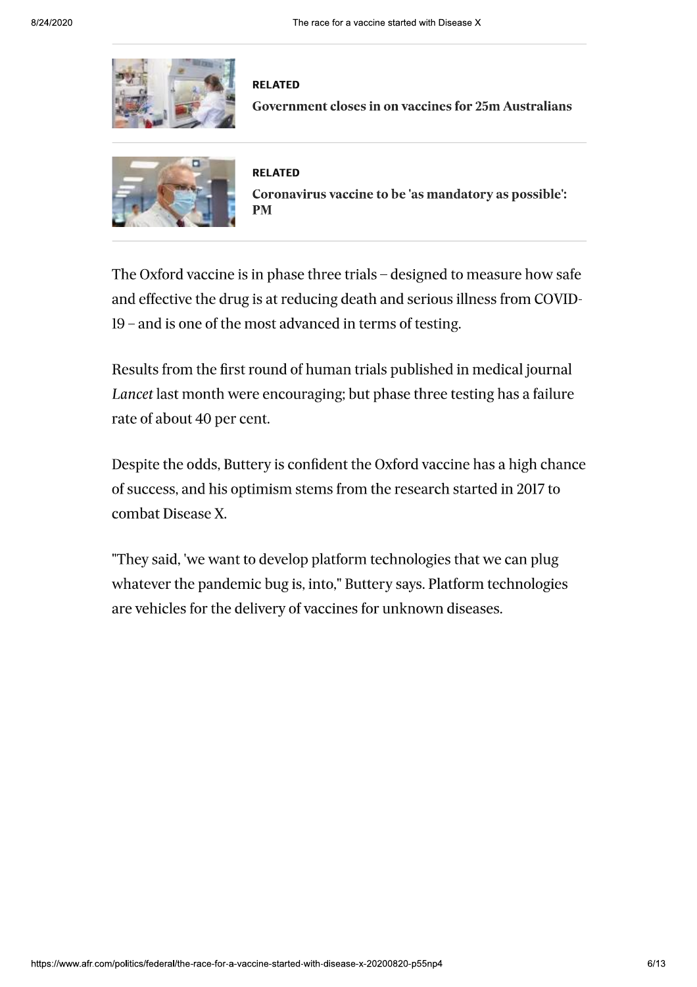

#### **RELATED**

**Government closes in on vaccines for 25m Australians** 



#### **RELATED**

Coronavirus vaccine to be 'as mandatory as possible': **PM** 

The Oxford vaccine is in phase three trials – designed to measure how safe and effective the drug is at reducing death and serious illness from COVID-19 – and is one of the most advanced in terms of testing.

Results from the first round of human trials published in medical journal Lancet last month were encouraging; but phase three testing has a failure rate of about 40 per cent.

Despite the odds, Buttery is confident the Oxford vaccine has a high chance of success, and his optimism stems from the research started in 2017 to combat Disease X.

"They said, 'we want to develop platform technologies that we can plug whatever the pandemic bug is, into," Buttery says. Platform technologies are vehicles for the delivery of vaccines for unknown diseases.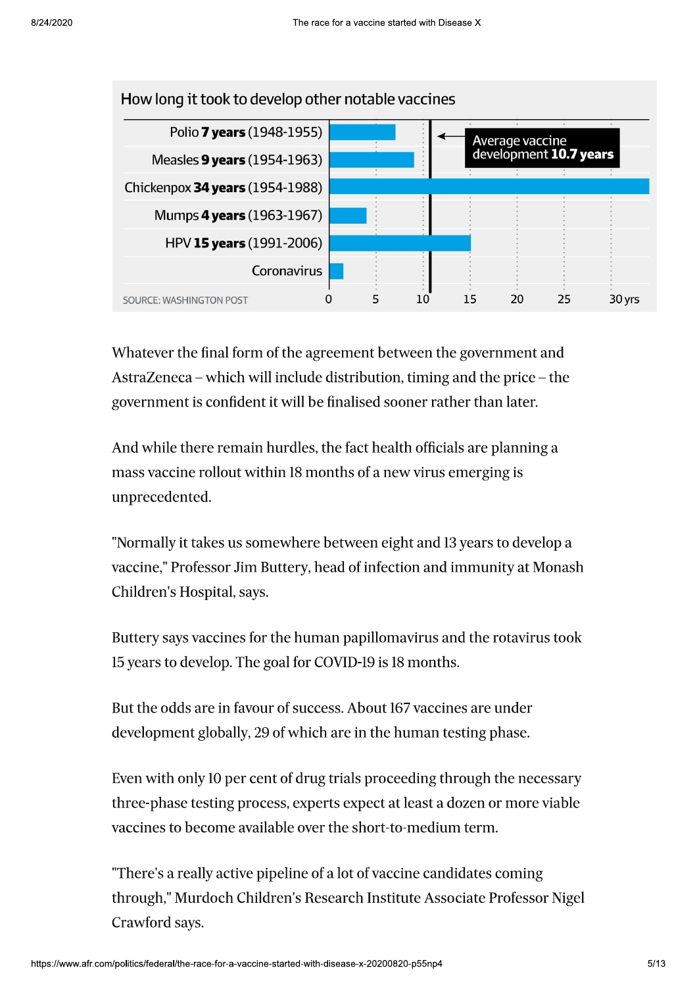

Whatever the final form of the agreement between the government and AstraZeneca – which will include distribution, timing and the price – the government is confident it will be finalised sooner rather than later.

And while there remain hurdles, the fact health officials are planning a mass vaccine rollout within 18 months of a new virus emerging is unprecedented.

"Normally it takes us somewhere between eight and 13 years to develop a vaccine," Professor Jim Buttery, head of infection and immunity at Monash Children's Hospital, says.

Buttery says vaccines for the human papillomavirus and the rotavirus took 15 years to develop. The goal for COVID-19 is 18 months.

But the odds are in favour of success. About 167 vaccines are under development globally, 29 of which are in the human testing phase.

Even with only 10 per cent of drug trials proceeding through the necessary three-phase testing process, experts expect at least a dozen or more viable vaccines to become available over the short-to-medium term.

"There's a really active pipeline of a lot of vaccine candidates coming through," Murdoch Children's Research Institute Associate Professor Nigel Crawford says.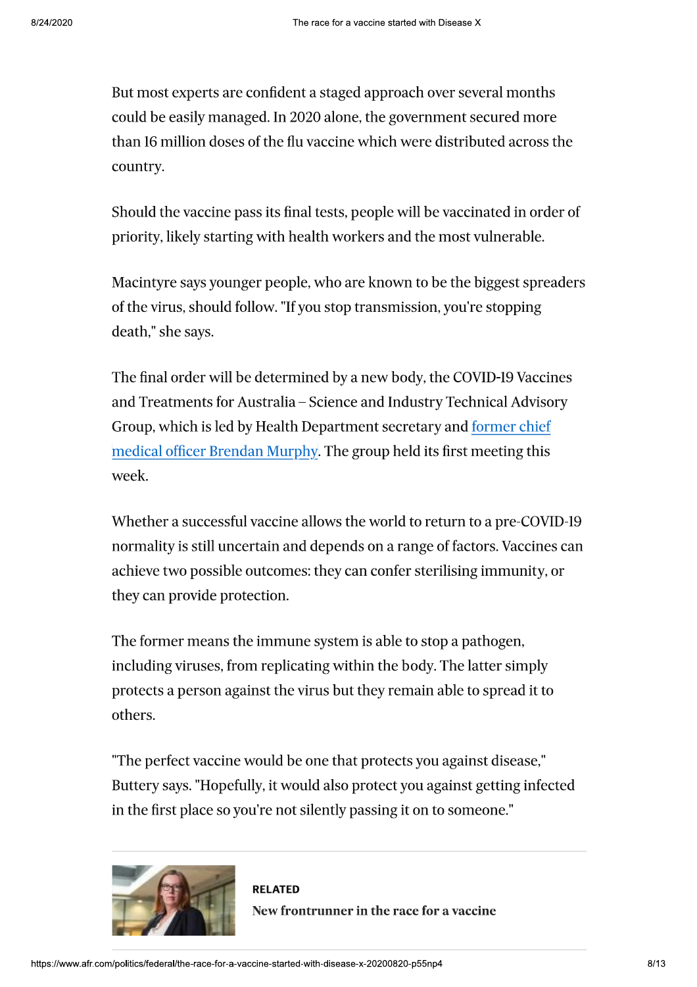But most experts are confident a staged approach over several months could be easily managed. In 2020 alone, the government secured more than 16 million doses of the flu vaccine which were distributed across the country.

Should the vaccine pass its final tests, people will be vaccinated in order of priority, likely starting with health workers and the most vulnerable.

Macintyre says younger people, who are known to be the biggest spreaders of the virus, should follow. "If you stop transmission, you're stopping death," she says.

The final order will be determined by a new body, the COVID-19 Vaccines and Treatments for Australia - Science and Industry Technical Advisory Group, which is led by Health Department secretary and former chief medical officer Brendan Murphy. The group held its first meeting this week.

Whether a successful vaccine allows the world to return to a pre-COVID-19 normality is still uncertain and depends on a range of factors. Vaccines can achieve two possible outcomes: they can confer sterilising immunity, or they can provide protection.

The former means the immune system is able to stop a pathogen, including viruses, from replicating within the body. The latter simply protects a person against the virus but they remain able to spread it to others.

"The perfect vaccine would be one that protects you against disease," Buttery says. "Hopefully, it would also protect you against getting infected in the first place so you're not silently passing it on to someone."



**RELATED** New frontrunner in the race for a vaccine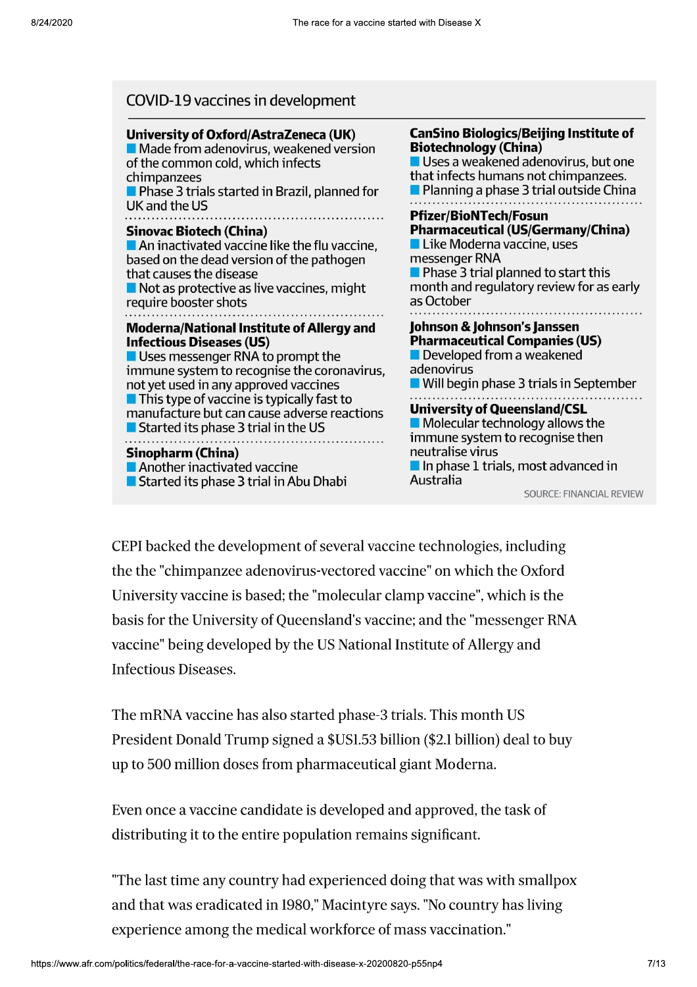| COVID-19 vaccines in development                         |                                               |  |  |  |
|----------------------------------------------------------|-----------------------------------------------|--|--|--|
| University of Oxford/AstraZeneca (UK)                    | <b>CanSino Biologics/Beijing Institute of</b> |  |  |  |
| Made from adenovirus, weakened version                   | <b>Biotechnology (China)</b>                  |  |  |  |
| of the common cold, which infects                        | Uses a weakened adenovirus, but one           |  |  |  |
| chimpanzees                                              | that infects humans not chimpanzees.          |  |  |  |
| Phase 3 trials started in Brazil, planned for            | Planning a phase 3 trial outside China        |  |  |  |
| UK and the US                                            | <b>Pfizer/BioNTech/Fosun</b>                  |  |  |  |
| <b>Sinovac Biotech (China)</b>                           | <b>Pharmaceutical (US/Germany/China)</b>      |  |  |  |
| An inactivated vaccine like the flu vaccine,             | Like Moderna vaccine, uses                    |  |  |  |
| based on the dead version of the pathogen                | messenger RNA                                 |  |  |  |
| that causes the disease                                  | Phase 3 trial planned to start this           |  |  |  |
| $\blacksquare$ Not as protective as live vaccines, might | month and regulatory review for as early      |  |  |  |
| require booster shots                                    | as October                                    |  |  |  |
| <b>Moderna/National Institute of Allergy and</b>         | Johnson & Johnson's Janssen                   |  |  |  |
| <b>Infectious Diseases (US)</b>                          | <b>Pharmaceutical Companies (US)</b>          |  |  |  |
| Uses messenger RNA to prompt the                         | Developed from a weakened                     |  |  |  |
| immune system to recognise the coronavirus,              | adenovirus                                    |  |  |  |
| not yet used in any approved vaccines                    | Will begin phase 3 trials in September        |  |  |  |

 $\blacksquare$  This type of vaccine is typically fast to manufacture but can cause adverse reactions Started its phase 3 trial in the US **Sinopharm (China)** Another inactivated vaccine Started its phase 3 trial in Abu Dhabi

ptember **University of Queensland/CSL**  $\blacksquare$  Molecular technology allows the immune system to recognise then neutralise virus  $\blacksquare$  In phase 1 trials, most advanced in Australia

**SOURCE: FINANCIAL REVIEW** 

CEPI backed the development of several vaccine technologies, including the the "chimpanzee adenovirus-vectored vaccine" on which the Oxford University vaccine is based; the "molecular clamp vaccine", which is the basis for the University of Queensland's vaccine; and the "messenger RNA vaccine" being developed by the US National Institute of Allergy and **Infectious Diseases.** 

The mRNA vaccine has also started phase-3 trials. This month US President Donald Trump signed a \$US1.53 billion (\$2.1 billion) deal to buy up to 500 million doses from pharmaceutical giant Moderna.

Even once a vaccine candidate is developed and approved, the task of distributing it to the entire population remains significant.

"The last time any country had experienced doing that was with smallpox and that was eradicated in 1980," Macintyre says. "No country has living experience among the medical workforce of mass vaccination."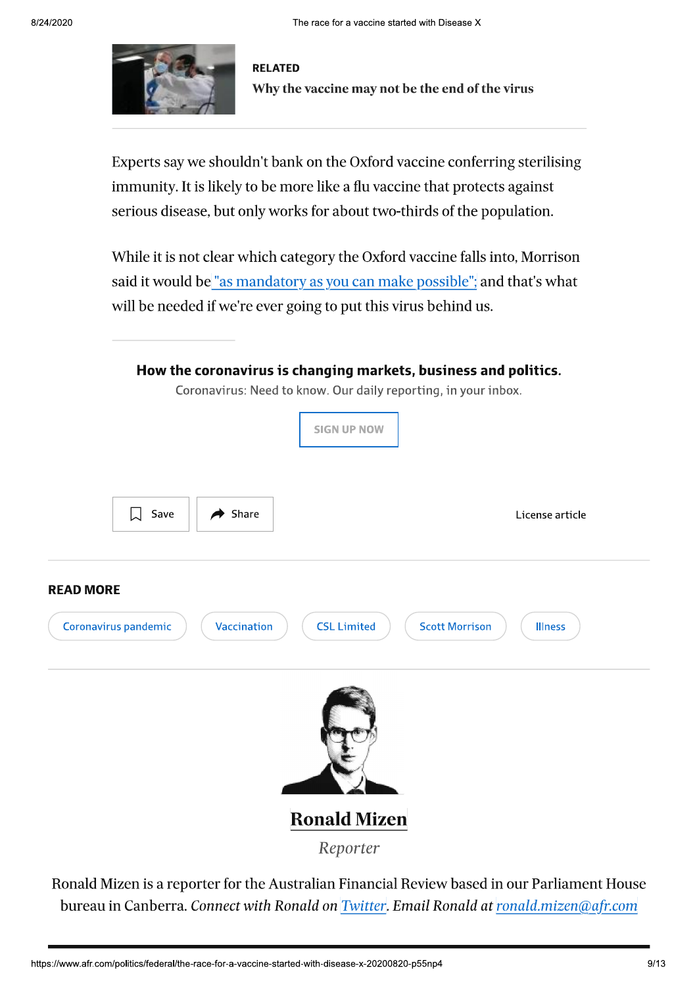

**RELATED** Why the vaccine may not be the end of the virus

Experts say we shouldn't bank on the Oxford vaccine conferring sterilising immunity. It is likely to be more like a flu vaccine that protects against serious disease, but only works for about two-thirds of the population.

While it is not clear which category the Oxford vaccine falls into, Morrison said it would be "as mandatory as you can make possible", and that's what will be needed if we're ever going to put this virus behind us.

|                  |                      |                     | How the coronavirus is changing markets, business and politics.                      |                                         |
|------------------|----------------------|---------------------|--------------------------------------------------------------------------------------|-----------------------------------------|
|                  |                      |                     | Coronavirus: Need to know. Our daily reporting, in your inbox.<br><b>SIGN UP NOW</b> |                                         |
|                  | 口<br>Save            | $\rightarrow$ Share |                                                                                      | License article                         |
| <b>READ MORE</b> | Coronavirus pandemic | Vaccination         | <b>CSL Limited</b>                                                                   | <b>Scott Morrison</b><br><b>Illness</b> |
|                  |                      |                     |                                                                                      |                                         |
|                  |                      |                     | <b>Ronald Mizen</b>                                                                  |                                         |
|                  |                      |                     | Reporter                                                                             |                                         |

Ronald Mizen is a reporter for the Australian Financial Review based in our Parliament House bureau in Canberra. Connect with Ronald on Twitter. Email Ronald at ronald mizen@afr.com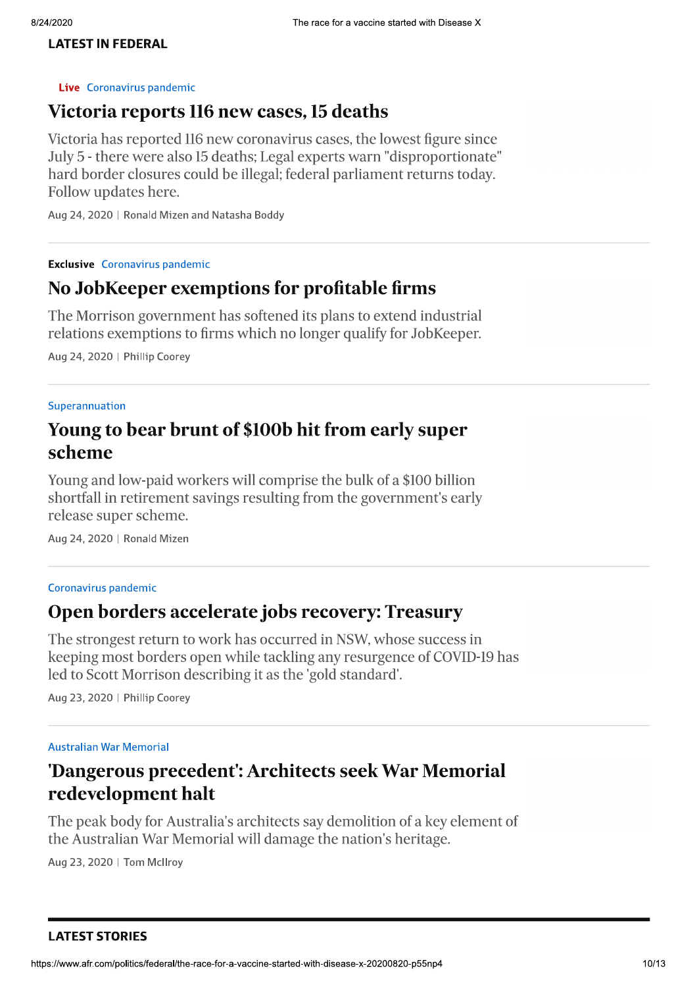#### **LATEST IN FEDERAL**

#### Live Coronavirus pandemic

### Victoria reports 116 new cases, 15 deaths

Victoria has reported 116 new coronavirus cases, the lowest figure since July 5 - there were also 15 deaths; Legal experts warn "disproportionate" hard border closures could be illegal; federal parliament returns today. Follow updates here.

Aug 24, 2020 | Ronald Mizen and Natasha Boddy

**Exclusive** Coronavirus pandemic

## No JobKeeper exemptions for profitable firms

The Morrison government has softened its plans to extend industrial relations exemptions to firms which no longer qualify for JobKeeper.

Aug 24, 2020 | Phillip Coorey

#### Superannuation

## Young to bear brunt of \$100b hit from early super scheme

Young and low-paid workers will comprise the bulk of a \$100 billion shortfall in retirement savings resulting from the government's early release super scheme.

Aug 24, 2020 | Ronald Mizen

#### Coronavirus pandemic

### Open borders accelerate jobs recovery: Treasury

The strongest return to work has occurred in NSW, whose success in keeping most borders open while tackling any resurgence of COVID-19 has led to Scott Morrison describing it as the 'gold standard'.

Aug 23, 2020 | Phillip Coorey

#### **Australian War Memorial**

## 'Dangerous precedent': Architects seek War Memorial redevelopment halt

The peak body for Australia's architects say demolition of a key element of the Australian War Memorial will damage the nation's heritage.

Aug 23, 2020 | Tom McIlroy

**LATEST STORIES**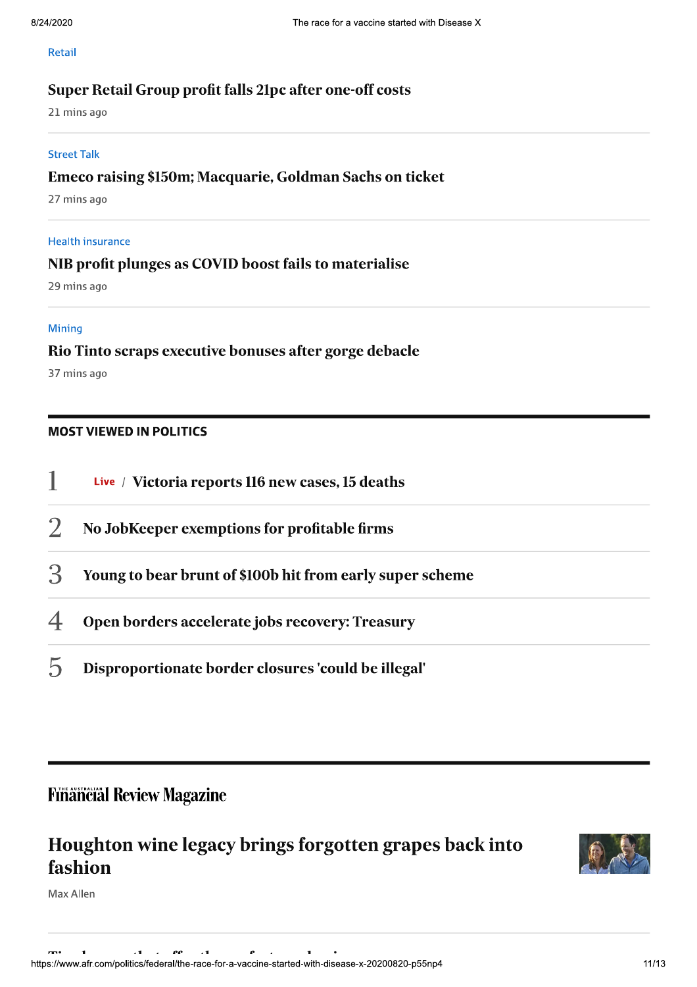#### Retail

### Super Retail Group profit falls 21pc after one-off costs

21 mins ago

#### **Street Talk**

### Emeco raising \$150m; Macquarie, Goldman Sachs on ticket

27 mins ago

### **Health insurance**

### NIB profit plunges as COVID boost fails to materialise

29 mins ago

#### **Mining**

### Rio Tinto scraps executive bonuses after gorge debacle

37 mins ago

### **MOST VIEWED IN POLITICS**

|   | Live / Victoria reports 116 new cases, 15 deaths          |
|---|-----------------------------------------------------------|
|   | No JobKeeper exemptions for profitable firms              |
| 3 | Young to bear brunt of \$100b hit from early super scheme |
| 4 | Open borders accelerate jobs recovery: Treasury           |
|   |                                                           |

 $\mathcal{D}$ Disproportionate border closures 'could be illegal'

## **Financial Review Magazine**

## Houghton wine legacy brings forgotten grapes back into fashion



Max Allen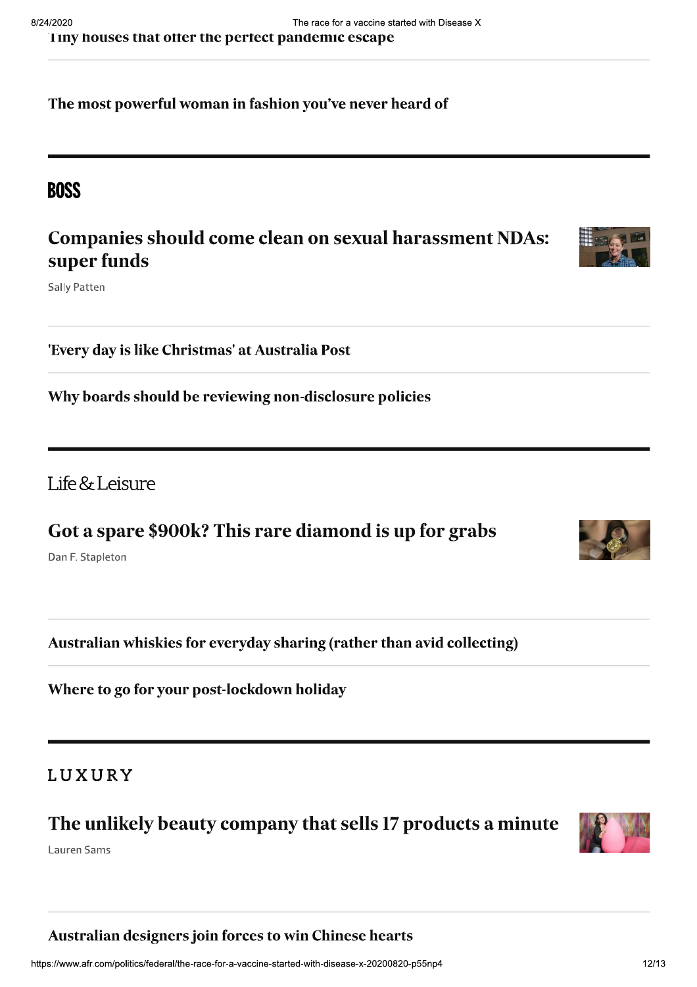The most powerful woman in fashion you've never heard of

## **BOSS**

## **Companies should come clean on sexual harassment NDAs:** super funds

**Sally Patten** 

'Every day is like Christmas' at Australia Post

Why boards should be reviewing non-disclosure policies

Life  $&$  Leisure

Got a spare \$900k? This rare diamond is up for grabs

Dan F. Stapleton

Australian whiskies for everyday sharing (rather than avid collecting)

Where to go for your post-lockdown holiday

## LUXURY

## The unlikely beauty company that sells 17 products a minute

Lauren Sams